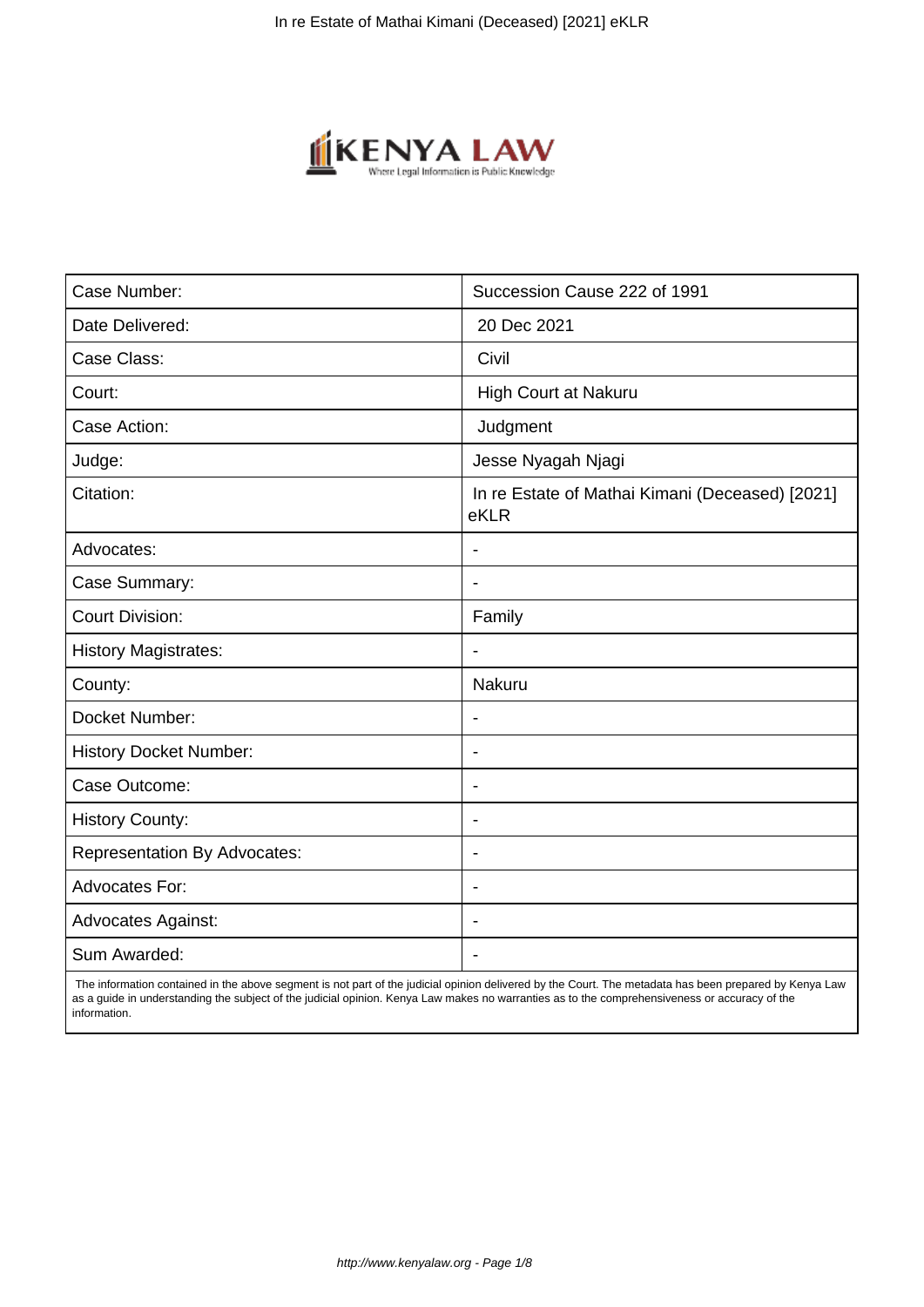

| Case Number:                        | Succession Cause 222 of 1991                            |
|-------------------------------------|---------------------------------------------------------|
| Date Delivered:                     | 20 Dec 2021                                             |
| Case Class:                         | Civil                                                   |
| Court:                              | High Court at Nakuru                                    |
| Case Action:                        | Judgment                                                |
| Judge:                              | Jesse Nyagah Njagi                                      |
| Citation:                           | In re Estate of Mathai Kimani (Deceased) [2021]<br>eKLR |
| Advocates:                          |                                                         |
| Case Summary:                       | $\blacksquare$                                          |
| <b>Court Division:</b>              | Family                                                  |
| <b>History Magistrates:</b>         | $\blacksquare$                                          |
| County:                             | Nakuru                                                  |
| Docket Number:                      | $\blacksquare$                                          |
| <b>History Docket Number:</b>       | $\overline{\phantom{a}}$                                |
| Case Outcome:                       | $\overline{\phantom{a}}$                                |
| <b>History County:</b>              | $\blacksquare$                                          |
| <b>Representation By Advocates:</b> | $\overline{\phantom{a}}$                                |
| <b>Advocates For:</b>               | $\blacksquare$                                          |
| <b>Advocates Against:</b>           | $\blacksquare$                                          |
| Sum Awarded:                        |                                                         |

 The information contained in the above segment is not part of the judicial opinion delivered by the Court. The metadata has been prepared by Kenya Law as a guide in understanding the subject of the judicial opinion. Kenya Law makes no warranties as to the comprehensiveness or accuracy of the information.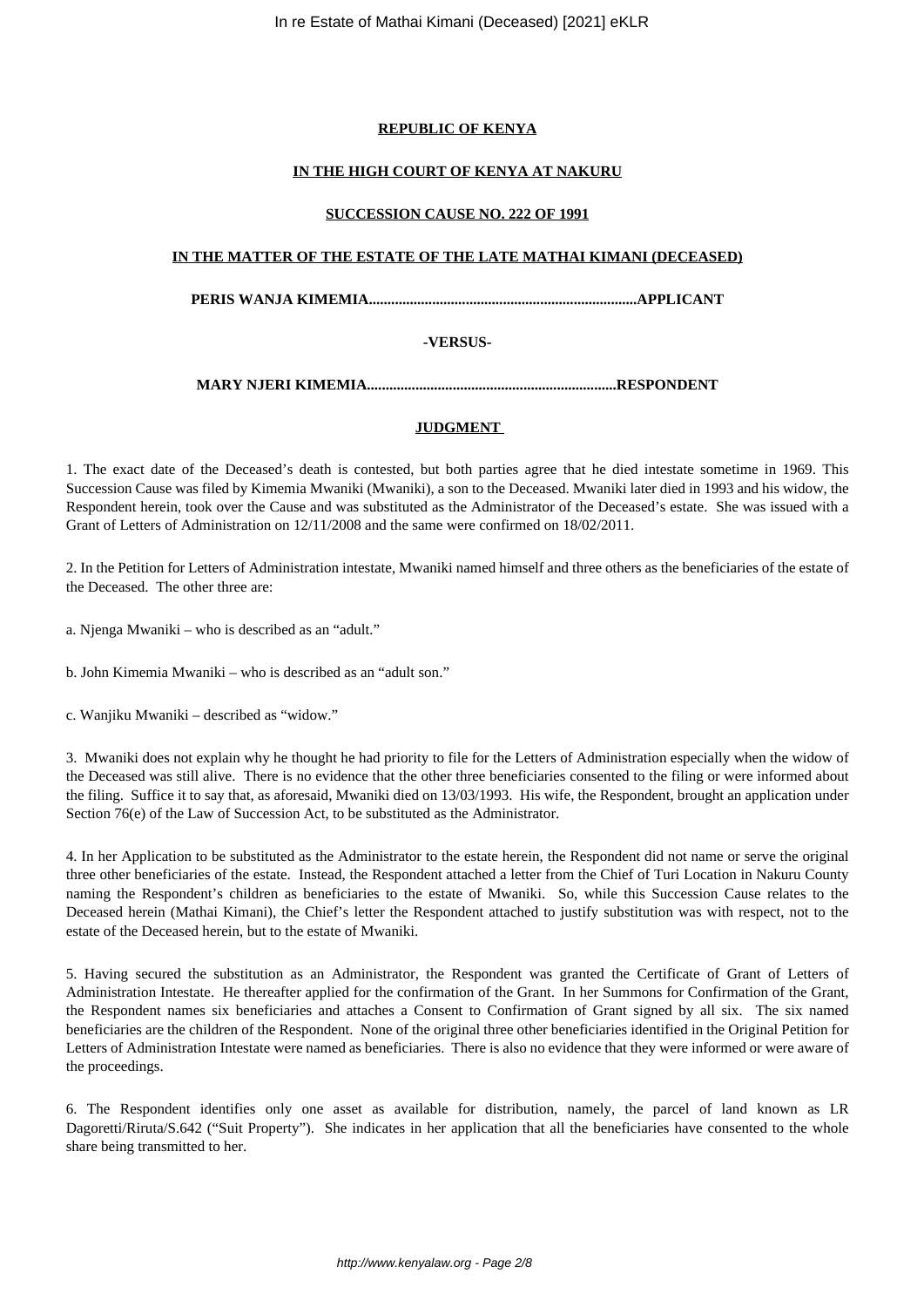# **REPUBLIC OF KENYA**

# **IN THE HIGH COURT OF KENYA AT NAKURU**

### **SUCCESSION CAUSE NO. 222 OF 1991**

### **IN THE MATTER OF THE ESTATE OF THE LATE MATHAI KIMANI (DECEASED)**

**PERIS WANJA KIMEMIA........................................................................APPLICANT**

# **-VERSUS-**

# **MARY NJERI KIMEMIA...................................................................RESPONDENT**

# **JUDGMENT**

1. The exact date of the Deceased's death is contested, but both parties agree that he died intestate sometime in 1969. This Succession Cause was filed by Kimemia Mwaniki (Mwaniki), a son to the Deceased. Mwaniki later died in 1993 and his widow, the Respondent herein, took over the Cause and was substituted as the Administrator of the Deceased's estate. She was issued with a Grant of Letters of Administration on 12/11/2008 and the same were confirmed on 18/02/2011.

2. In the Petition for Letters of Administration intestate, Mwaniki named himself and three others as the beneficiaries of the estate of the Deceased. The other three are:

a. Njenga Mwaniki – who is described as an "adult."

b. John Kimemia Mwaniki – who is described as an "adult son."

c. Wanjiku Mwaniki – described as "widow."

3. Mwaniki does not explain why he thought he had priority to file for the Letters of Administration especially when the widow of the Deceased was still alive. There is no evidence that the other three beneficiaries consented to the filing or were informed about the filing. Suffice it to say that, as aforesaid, Mwaniki died on 13/03/1993. His wife, the Respondent, brought an application under Section 76(e) of the Law of Succession Act, to be substituted as the Administrator.

4. In her Application to be substituted as the Administrator to the estate herein, the Respondent did not name or serve the original three other beneficiaries of the estate. Instead, the Respondent attached a letter from the Chief of Turi Location in Nakuru County naming the Respondent's children as beneficiaries to the estate of Mwaniki. So, while this Succession Cause relates to the Deceased herein (Mathai Kimani), the Chief's letter the Respondent attached to justify substitution was with respect, not to the estate of the Deceased herein, but to the estate of Mwaniki.

5. Having secured the substitution as an Administrator, the Respondent was granted the Certificate of Grant of Letters of Administration Intestate. He thereafter applied for the confirmation of the Grant. In her Summons for Confirmation of the Grant, the Respondent names six beneficiaries and attaches a Consent to Confirmation of Grant signed by all six. The six named beneficiaries are the children of the Respondent. None of the original three other beneficiaries identified in the Original Petition for Letters of Administration Intestate were named as beneficiaries. There is also no evidence that they were informed or were aware of the proceedings.

6. The Respondent identifies only one asset as available for distribution, namely, the parcel of land known as LR Dagoretti/Riruta/S.642 ("Suit Property"). She indicates in her application that all the beneficiaries have consented to the whole share being transmitted to her.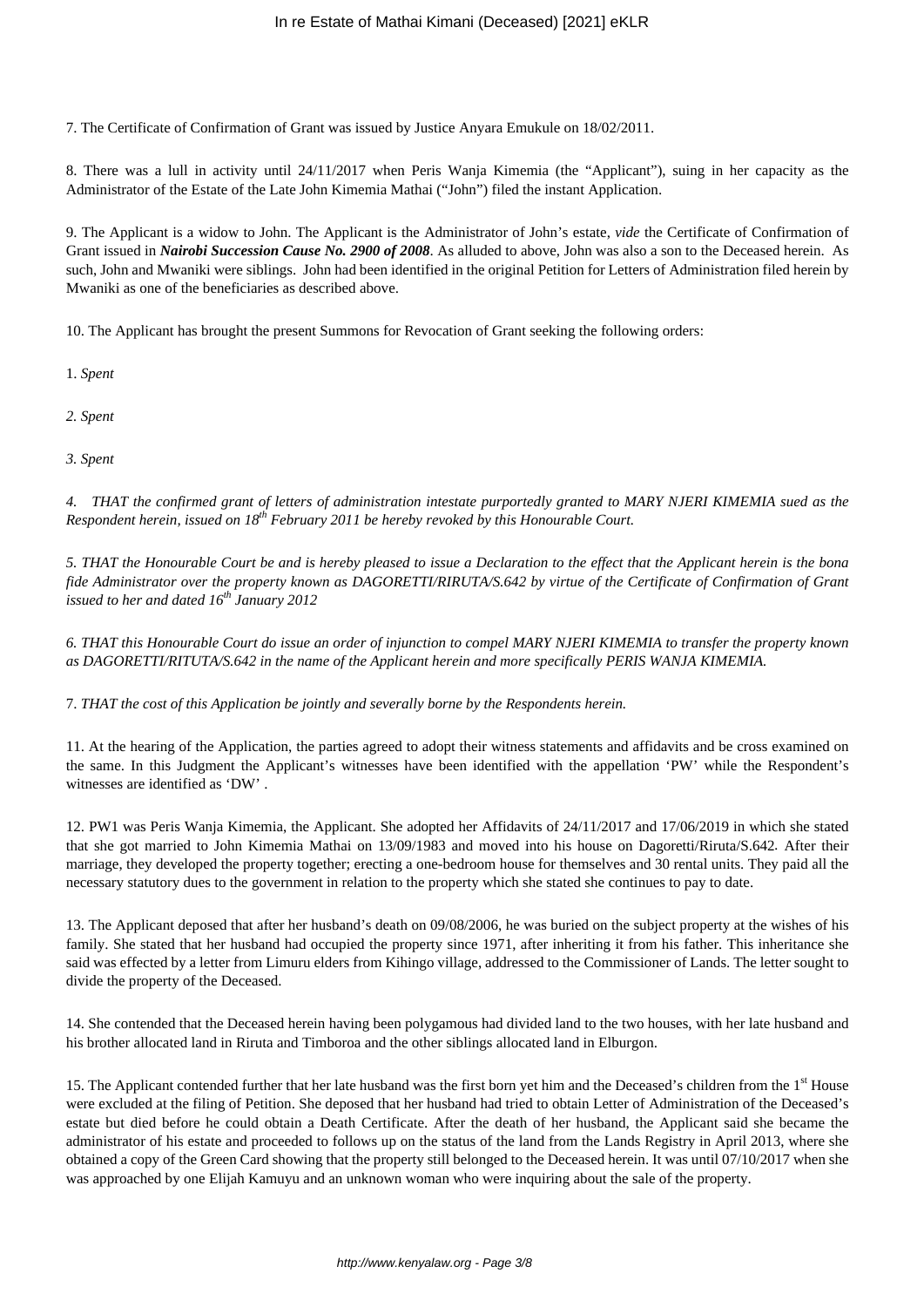7. The Certificate of Confirmation of Grant was issued by Justice Anyara Emukule on 18/02/2011.

8. There was a lull in activity until 24/11/2017 when Peris Wanja Kimemia (the "Applicant"), suing in her capacity as the Administrator of the Estate of the Late John Kimemia Mathai ("John") filed the instant Application.

9. The Applicant is a widow to John. The Applicant is the Administrator of John's estate, *vide* the Certificate of Confirmation of Grant issued in *Nairobi Succession Cause No. 2900 of 2008*. As alluded to above, John was also a son to the Deceased herein. As such, John and Mwaniki were siblings. John had been identified in the original Petition for Letters of Administration filed herein by Mwaniki as one of the beneficiaries as described above.

10. The Applicant has brought the present Summons for Revocation of Grant seeking the following orders:

1. *Spent*

*2. Spent*

*3. Spent*

*4. THAT the confirmed grant of letters of administration intestate purportedly granted to MARY NJERI KIMEMIA sued as the Respondent herein, issued on 18th February 2011 be hereby revoked by this Honourable Court.*

*5. THAT the Honourable Court be and is hereby pleased to issue a Declaration to the effect that the Applicant herein is the bona fide Administrator over the property known as DAGORETTI/RIRUTA/S.642 by virtue of the Certificate of Confirmation of Grant issued to her and dated 16th January 2012*

*6. THAT this Honourable Court do issue an order of injunction to compel MARY NJERI KIMEMIA to transfer the property known as DAGORETTI/RITUTA/S.642 in the name of the Applicant herein and more specifically PERIS WANJA KIMEMIA.*

7. *THAT the cost of this Application be jointly and severally borne by the Respondents herein.* 

11. At the hearing of the Application, the parties agreed to adopt their witness statements and affidavits and be cross examined on the same. In this Judgment the Applicant's witnesses have been identified with the appellation 'PW' while the Respondent's witnesses are identified as 'DW' .

12. PW1 was Peris Wanja Kimemia, the Applicant. She adopted her Affidavits of 24/11/2017 and 17/06/2019 in which she stated that she got married to John Kimemia Mathai on 13/09/1983 and moved into his house on Dagoretti/Riruta/S.642*.* After their marriage, they developed the property together; erecting a one-bedroom house for themselves and 30 rental units. They paid all the necessary statutory dues to the government in relation to the property which she stated she continues to pay to date.

13. The Applicant deposed that after her husband's death on 09/08/2006, he was buried on the subject property at the wishes of his family. She stated that her husband had occupied the property since 1971, after inheriting it from his father. This inheritance she said was effected by a letter from Limuru elders from Kihingo village, addressed to the Commissioner of Lands. The letter sought to divide the property of the Deceased.

14. She contended that the Deceased herein having been polygamous had divided land to the two houses, with her late husband and his brother allocated land in Riruta and Timboroa and the other siblings allocated land in Elburgon.

15. The Applicant contended further that her late husband was the first born yet him and the Deceased's children from the 1<sup>st</sup> House were excluded at the filing of Petition. She deposed that her husband had tried to obtain Letter of Administration of the Deceased's estate but died before he could obtain a Death Certificate. After the death of her husband, the Applicant said she became the administrator of his estate and proceeded to follows up on the status of the land from the Lands Registry in April 2013, where she obtained a copy of the Green Card showing that the property still belonged to the Deceased herein. It was until 07/10/2017 when she was approached by one Elijah Kamuyu and an unknown woman who were inquiring about the sale of the property.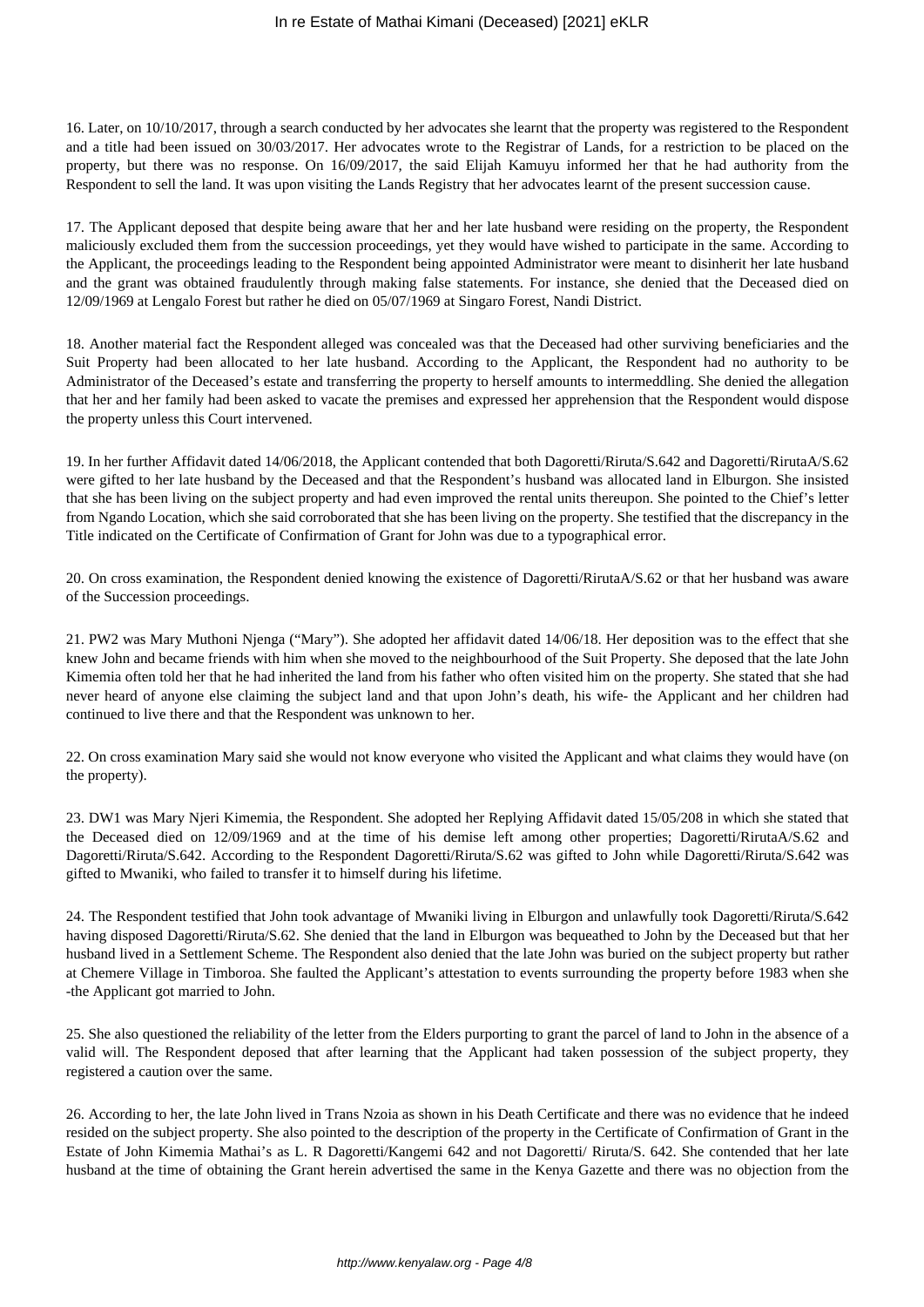16. Later, on 10/10/2017, through a search conducted by her advocates she learnt that the property was registered to the Respondent and a title had been issued on 30/03/2017. Her advocates wrote to the Registrar of Lands, for a restriction to be placed on the property, but there was no response. On 16/09/2017, the said Elijah Kamuyu informed her that he had authority from the Respondent to sell the land. It was upon visiting the Lands Registry that her advocates learnt of the present succession cause.

17. The Applicant deposed that despite being aware that her and her late husband were residing on the property, the Respondent maliciously excluded them from the succession proceedings, yet they would have wished to participate in the same. According to the Applicant, the proceedings leading to the Respondent being appointed Administrator were meant to disinherit her late husband and the grant was obtained fraudulently through making false statements. For instance, she denied that the Deceased died on 12/09/1969 at Lengalo Forest but rather he died on 05/07/1969 at Singaro Forest, Nandi District.

18. Another material fact the Respondent alleged was concealed was that the Deceased had other surviving beneficiaries and the Suit Property had been allocated to her late husband. According to the Applicant, the Respondent had no authority to be Administrator of the Deceased's estate and transferring the property to herself amounts to intermeddling. She denied the allegation that her and her family had been asked to vacate the premises and expressed her apprehension that the Respondent would dispose the property unless this Court intervened.

19. In her further Affidavit dated 14/06/2018, the Applicant contended that both Dagoretti/Riruta/S.642 and Dagoretti/RirutaA/S.62 were gifted to her late husband by the Deceased and that the Respondent's husband was allocated land in Elburgon. She insisted that she has been living on the subject property and had even improved the rental units thereupon. She pointed to the Chief's letter from Ngando Location, which she said corroborated that she has been living on the property. She testified that the discrepancy in the Title indicated on the Certificate of Confirmation of Grant for John was due to a typographical error.

20. On cross examination, the Respondent denied knowing the existence of Dagoretti/RirutaA/S.62 or that her husband was aware of the Succession proceedings.

21. PW2 was Mary Muthoni Njenga ("Mary"). She adopted her affidavit dated 14/06/18. Her deposition was to the effect that she knew John and became friends with him when she moved to the neighbourhood of the Suit Property. She deposed that the late John Kimemia often told her that he had inherited the land from his father who often visited him on the property. She stated that she had never heard of anyone else claiming the subject land and that upon John's death, his wife- the Applicant and her children had continued to live there and that the Respondent was unknown to her.

22. On cross examination Mary said she would not know everyone who visited the Applicant and what claims they would have (on the property).

23. DW1 was Mary Njeri Kimemia, the Respondent. She adopted her Replying Affidavit dated 15/05/208 in which she stated that the Deceased died on 12/09/1969 and at the time of his demise left among other properties; Dagoretti/RirutaA/S.62 and Dagoretti/Riruta/S.642. According to the Respondent Dagoretti/Riruta/S.62 was gifted to John while Dagoretti/Riruta/S.642 was gifted to Mwaniki, who failed to transfer it to himself during his lifetime.

24. The Respondent testified that John took advantage of Mwaniki living in Elburgon and unlawfully took Dagoretti/Riruta/S.642 having disposed Dagoretti/Riruta/S.62. She denied that the land in Elburgon was bequeathed to John by the Deceased but that her husband lived in a Settlement Scheme. The Respondent also denied that the late John was buried on the subject property but rather at Chemere Village in Timboroa. She faulted the Applicant's attestation to events surrounding the property before 1983 when she -the Applicant got married to John.

25. She also questioned the reliability of the letter from the Elders purporting to grant the parcel of land to John in the absence of a valid will. The Respondent deposed that after learning that the Applicant had taken possession of the subject property, they registered a caution over the same.

26. According to her, the late John lived in Trans Nzoia as shown in his Death Certificate and there was no evidence that he indeed resided on the subject property. She also pointed to the description of the property in the Certificate of Confirmation of Grant in the Estate of John Kimemia Mathai's as L. R Dagoretti/Kangemi 642 and not Dagoretti/ Riruta/S. 642. She contended that her late husband at the time of obtaining the Grant herein advertised the same in the Kenya Gazette and there was no objection from the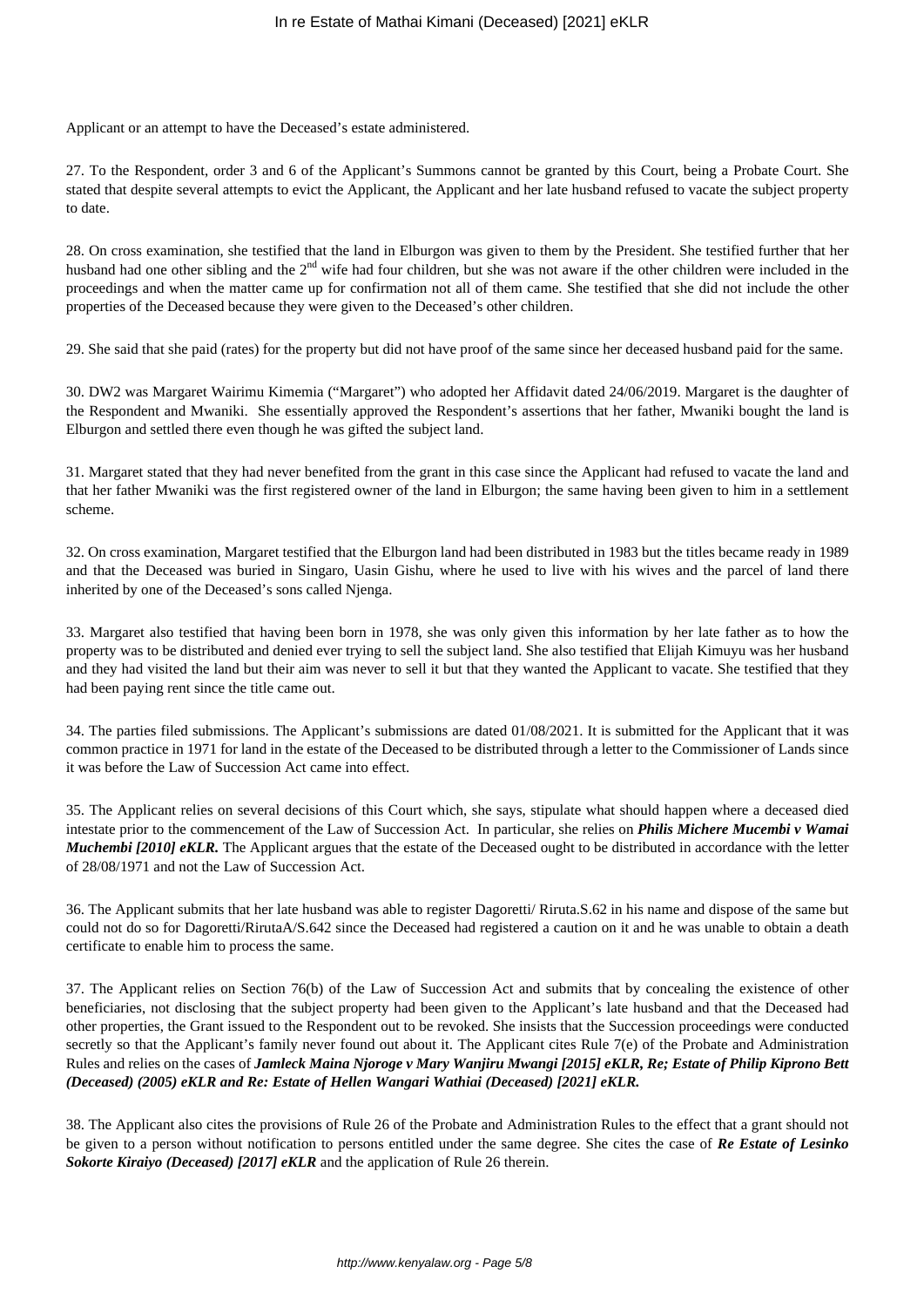Applicant or an attempt to have the Deceased's estate administered.

27. To the Respondent, order 3 and 6 of the Applicant's Summons cannot be granted by this Court, being a Probate Court. She stated that despite several attempts to evict the Applicant, the Applicant and her late husband refused to vacate the subject property to date.

28. On cross examination, she testified that the land in Elburgon was given to them by the President. She testified further that her husband had one other sibling and the 2<sup>nd</sup> wife had four children, but she was not aware if the other children were included in the proceedings and when the matter came up for confirmation not all of them came. She testified that she did not include the other properties of the Deceased because they were given to the Deceased's other children.

29. She said that she paid (rates) for the property but did not have proof of the same since her deceased husband paid for the same.

30. DW2 was Margaret Wairimu Kimemia ("Margaret") who adopted her Affidavit dated 24/06/2019. Margaret is the daughter of the Respondent and Mwaniki. She essentially approved the Respondent's assertions that her father, Mwaniki bought the land is Elburgon and settled there even though he was gifted the subject land.

31. Margaret stated that they had never benefited from the grant in this case since the Applicant had refused to vacate the land and that her father Mwaniki was the first registered owner of the land in Elburgon; the same having been given to him in a settlement scheme.

32. On cross examination, Margaret testified that the Elburgon land had been distributed in 1983 but the titles became ready in 1989 and that the Deceased was buried in Singaro, Uasin Gishu, where he used to live with his wives and the parcel of land there inherited by one of the Deceased's sons called Njenga.

33. Margaret also testified that having been born in 1978, she was only given this information by her late father as to how the property was to be distributed and denied ever trying to sell the subject land. She also testified that Elijah Kimuyu was her husband and they had visited the land but their aim was never to sell it but that they wanted the Applicant to vacate. She testified that they had been paying rent since the title came out.

34. The parties filed submissions. The Applicant's submissions are dated 01/08/2021. It is submitted for the Applicant that it was common practice in 1971 for land in the estate of the Deceased to be distributed through a letter to the Commissioner of Lands since it was before the Law of Succession Act came into effect.

35. The Applicant relies on several decisions of this Court which, she says, stipulate what should happen where a deceased died intestate prior to the commencement of the Law of Succession Act. In particular, she relies on *Philis Michere Mucembi v Wamai Muchembi [2010] eKLR.* The Applicant argues that the estate of the Deceased ought to be distributed in accordance with the letter of 28/08/1971 and not the Law of Succession Act.

36. The Applicant submits that her late husband was able to register Dagoretti/ Riruta.S.62 in his name and dispose of the same but could not do so for Dagoretti/RirutaA/S.642 since the Deceased had registered a caution on it and he was unable to obtain a death certificate to enable him to process the same.

37. The Applicant relies on Section 76(b) of the Law of Succession Act and submits that by concealing the existence of other beneficiaries, not disclosing that the subject property had been given to the Applicant's late husband and that the Deceased had other properties, the Grant issued to the Respondent out to be revoked. She insists that the Succession proceedings were conducted secretly so that the Applicant's family never found out about it. The Applicant cites Rule 7(e) of the Probate and Administration Rules and relies on the cases of *Jamleck Maina Njoroge v Mary Wanjiru Mwangi [2015] eKLR, Re; Estate of Philip Kiprono Bett (Deceased) (2005) eKLR and Re: Estate of Hellen Wangari Wathiai (Deceased) [2021] eKLR.* 

38. The Applicant also cites the provisions of Rule 26 of the Probate and Administration Rules to the effect that a grant should not be given to a person without notification to persons entitled under the same degree. She cites the case of *Re Estate of Lesinko Sokorte Kiraiyo (Deceased) [2017] eKLR* and the application of Rule 26 therein.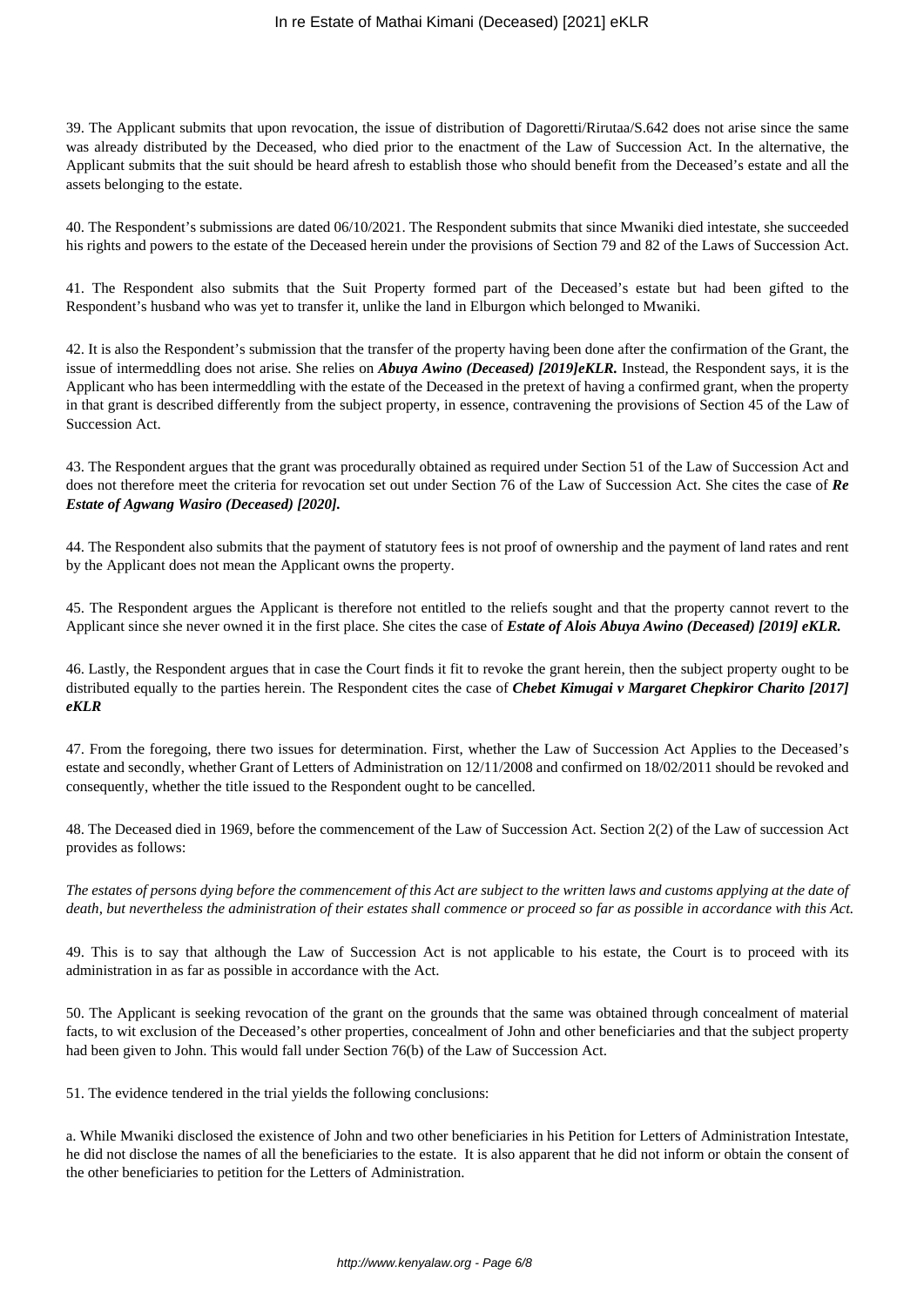### In re Estate of Mathai Kimani (Deceased) [2021] eKLR

39. The Applicant submits that upon revocation, the issue of distribution of Dagoretti/Rirutaa/S.642 does not arise since the same was already distributed by the Deceased, who died prior to the enactment of the Law of Succession Act. In the alternative, the Applicant submits that the suit should be heard afresh to establish those who should benefit from the Deceased's estate and all the assets belonging to the estate.

40. The Respondent's submissions are dated 06/10/2021. The Respondent submits that since Mwaniki died intestate, she succeeded his rights and powers to the estate of the Deceased herein under the provisions of Section 79 and 82 of the Laws of Succession Act.

41. The Respondent also submits that the Suit Property formed part of the Deceased's estate but had been gifted to the Respondent's husband who was yet to transfer it, unlike the land in Elburgon which belonged to Mwaniki.

42. It is also the Respondent's submission that the transfer of the property having been done after the confirmation of the Grant, the issue of intermeddling does not arise. She relies on *Abuya Awino (Deceased) [2019]eKLR.* Instead, the Respondent says, it is the Applicant who has been intermeddling with the estate of the Deceased in the pretext of having a confirmed grant, when the property in that grant is described differently from the subject property, in essence, contravening the provisions of Section 45 of the Law of Succession Act.

43. The Respondent argues that the grant was procedurally obtained as required under Section 51 of the Law of Succession Act and does not therefore meet the criteria for revocation set out under Section 76 of the Law of Succession Act. She cites the case of *Re Estate of Agwang Wasiro (Deceased) [2020].*

44. The Respondent also submits that the payment of statutory fees is not proof of ownership and the payment of land rates and rent by the Applicant does not mean the Applicant owns the property.

45. The Respondent argues the Applicant is therefore not entitled to the reliefs sought and that the property cannot revert to the Applicant since she never owned it in the first place. She cites the case of *Estate of Alois Abuya Awino (Deceased) [2019] eKLR.* 

46. Lastly, the Respondent argues that in case the Court finds it fit to revoke the grant herein, then the subject property ought to be distributed equally to the parties herein. The Respondent cites the case of *Chebet Kimugai v Margaret Chepkiror Charito [2017] eKLR*

47. From the foregoing, there two issues for determination. First, whether the Law of Succession Act Applies to the Deceased's estate and secondly, whether Grant of Letters of Administration on 12/11/2008 and confirmed on 18/02/2011 should be revoked and consequently, whether the title issued to the Respondent ought to be cancelled.

48. The Deceased died in 1969, before the commencement of the Law of Succession Act. Section 2(2) of the Law of succession Act provides as follows:

*The estates of persons dying before the commencement of this Act are subject to the written laws and customs applying at the date of death, but nevertheless the administration of their estates shall commence or proceed so far as possible in accordance with this Act.*

49. This is to say that although the Law of Succession Act is not applicable to his estate, the Court is to proceed with its administration in as far as possible in accordance with the Act.

50. The Applicant is seeking revocation of the grant on the grounds that the same was obtained through concealment of material facts, to wit exclusion of the Deceased's other properties, concealment of John and other beneficiaries and that the subject property had been given to John. This would fall under Section 76(b) of the Law of Succession Act.

51. The evidence tendered in the trial yields the following conclusions:

a. While Mwaniki disclosed the existence of John and two other beneficiaries in his Petition for Letters of Administration Intestate, he did not disclose the names of all the beneficiaries to the estate. It is also apparent that he did not inform or obtain the consent of the other beneficiaries to petition for the Letters of Administration.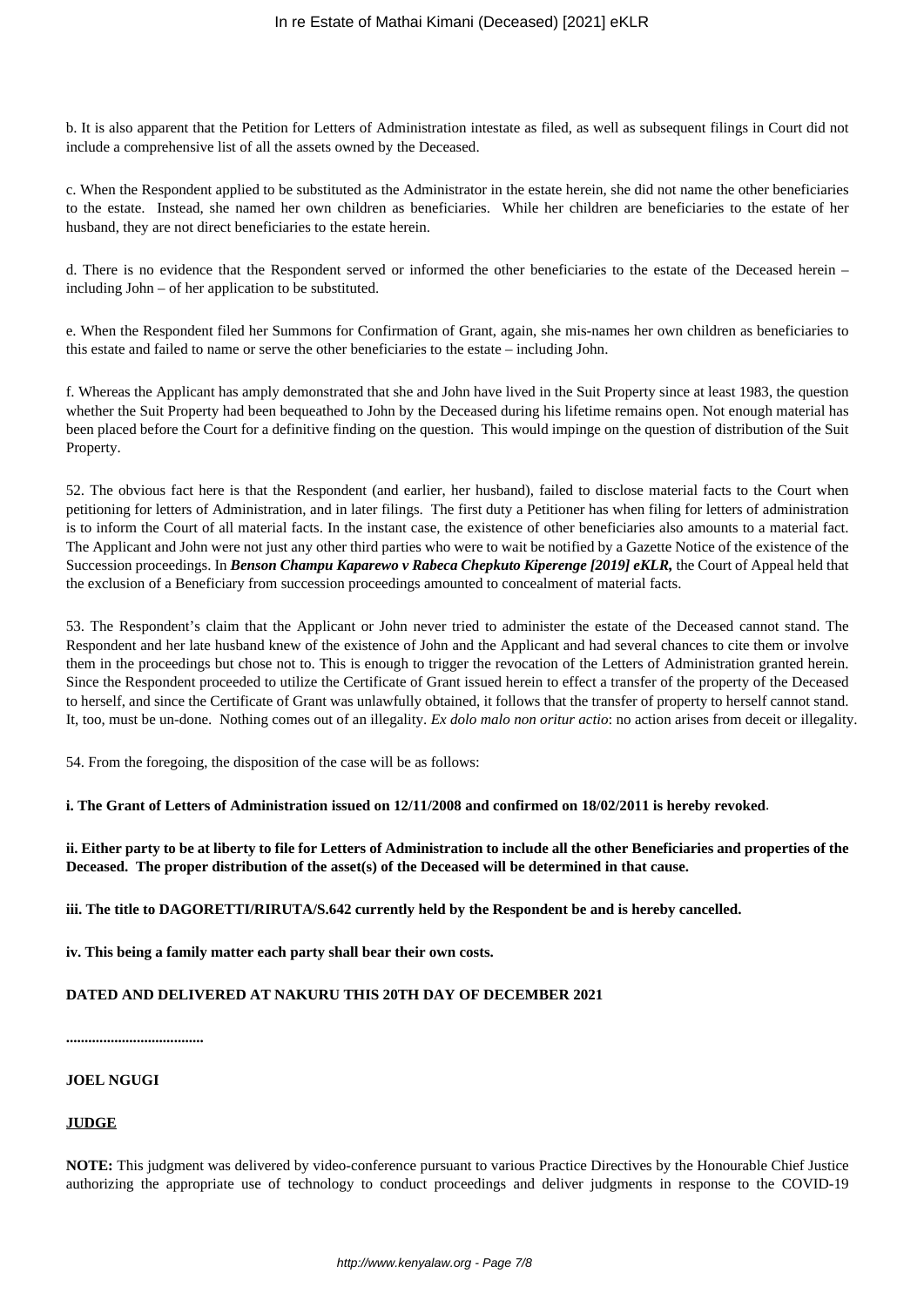b. It is also apparent that the Petition for Letters of Administration intestate as filed, as well as subsequent filings in Court did not include a comprehensive list of all the assets owned by the Deceased.

c. When the Respondent applied to be substituted as the Administrator in the estate herein, she did not name the other beneficiaries to the estate. Instead, she named her own children as beneficiaries. While her children are beneficiaries to the estate of her husband, they are not direct beneficiaries to the estate herein.

d. There is no evidence that the Respondent served or informed the other beneficiaries to the estate of the Deceased herein – including John – of her application to be substituted.

e. When the Respondent filed her Summons for Confirmation of Grant, again, she mis-names her own children as beneficiaries to this estate and failed to name or serve the other beneficiaries to the estate – including John.

f. Whereas the Applicant has amply demonstrated that she and John have lived in the Suit Property since at least 1983, the question whether the Suit Property had been bequeathed to John by the Deceased during his lifetime remains open. Not enough material has been placed before the Court for a definitive finding on the question. This would impinge on the question of distribution of the Suit Property.

52. The obvious fact here is that the Respondent (and earlier, her husband), failed to disclose material facts to the Court when petitioning for letters of Administration, and in later filings. The first duty a Petitioner has when filing for letters of administration is to inform the Court of all material facts. In the instant case, the existence of other beneficiaries also amounts to a material fact. The Applicant and John were not just any other third parties who were to wait be notified by a Gazette Notice of the existence of the Succession proceedings. In *Benson Champu Kaparewo v Rabeca Chepkuto Kiperenge [2019] eKLR*, the Court of Appeal held that the exclusion of a Beneficiary from succession proceedings amounted to concealment of material facts.

53. The Respondent's claim that the Applicant or John never tried to administer the estate of the Deceased cannot stand. The Respondent and her late husband knew of the existence of John and the Applicant and had several chances to cite them or involve them in the proceedings but chose not to. This is enough to trigger the revocation of the Letters of Administration granted herein. Since the Respondent proceeded to utilize the Certificate of Grant issued herein to effect a transfer of the property of the Deceased to herself, and since the Certificate of Grant was unlawfully obtained, it follows that the transfer of property to herself cannot stand. It, too, must be un-done. Nothing comes out of an illegality. *Ex dolo malo non oritur actio*: no action arises from deceit or illegality.

54. From the foregoing, the disposition of the case will be as follows:

**i. The Grant of Letters of Administration issued on 12/11/2008 and confirmed on 18/02/2011 is hereby revoked**.

**ii. Either party to be at liberty to file for Letters of Administration to include all the other Beneficiaries and properties of the Deceased. The proper distribution of the asset(s) of the Deceased will be determined in that cause.**

**iii. The title to DAGORETTI/RIRUTA/S.642 currently held by the Respondent be and is hereby cancelled.**

**iv. This being a family matter each party shall bear their own costs.** 

# **DATED AND DELIVERED AT NAKURU THIS 20TH DAY OF DECEMBER 2021**

**.....................................**

#### **JOEL NGUGI**

#### **JUDGE**

**NOTE:** This judgment was delivered by video-conference pursuant to various Practice Directives by the Honourable Chief Justice authorizing the appropriate use of technology to conduct proceedings and deliver judgments in response to the COVID-19